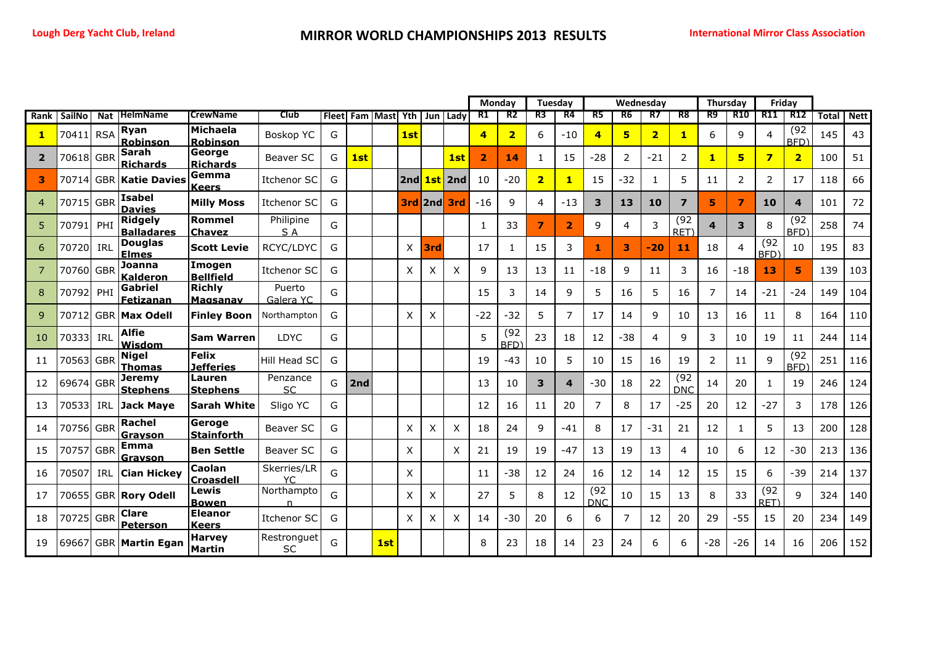|                |               |            |                                     |                                    |                          |              |     |              |      |     |            | Monday         |                         | Tuesday                 |                         |                    | Wednesday      |                         |                         | Thursday       |                         | Friday                   |                          |              |             |
|----------------|---------------|------------|-------------------------------------|------------------------------------|--------------------------|--------------|-----|--------------|------|-----|------------|----------------|-------------------------|-------------------------|-------------------------|--------------------|----------------|-------------------------|-------------------------|----------------|-------------------------|--------------------------|--------------------------|--------------|-------------|
| Rank           | <b>SailNo</b> | <b>Nat</b> | <b>HelmName</b>                     | <b>CrewName</b>                    | <b>Club</b>              | <b>Fleet</b> |     | Fam Mast Yth |      |     | Jun I Ladv | R1             | R2                      | R3                      | R4                      | R5                 | R6             | R7                      | R8                      | R9             | R <sub>10</sub>         | R11                      | <b>R12</b>               | <b>Total</b> | <b>Nett</b> |
| $\mathbf{1}$   | 70411         | <b>RSA</b> | Ryan<br>Robinson                    | <b>Michaela</b><br><b>Robinson</b> | Boskop YC                | G            |     |              | 1st  |     |            | 4              | $\overline{\mathbf{2}}$ | 6                       | $-10$                   | $\overline{a}$     | 5              | $\overline{\mathbf{2}}$ | $\mathbf{1}$            | 6              | 9                       | $\overline{4}$           | (92)<br>BFD)             | 145          | 43          |
| $\overline{2}$ | 70618         | <b>GBR</b> | <b>Sarah</b><br><b>Richards</b>     | George<br><b>Richards</b>          | Beaver SC                | G            | 1st |              |      |     | 1st        | $\overline{2}$ | 14                      | 1                       | 15                      | $-28$              | $\overline{2}$ | $-21$                   | $\overline{2}$          | $\mathbf{1}$   | 5                       | $\overline{\mathbf{z}}$  | $\overline{2}$           | 100          | 51          |
| з              | 70714         | <b>GBR</b> | <b>Katie Davies</b>                 | Gemma<br><b>Keers</b>              | <b>Itchenor SC</b>       | G            |     |              | 2ndl |     | 1st 2nd    | 10             | $-20$                   | $\overline{\mathbf{2}}$ |                         | 15                 | $-32$          | -1                      | 5                       | 11             | $\overline{2}$          | $\overline{2}$           | 17                       | 118          | 66          |
| $\overline{4}$ | 70715         | <b>GBR</b> | <b>Isabel</b><br><b>Davies</b>      | <b>Milly Moss</b>                  | <b>Itchenor SC</b>       | G            |     |              | 3rd  | 2nd | 3rd        | $-16$          | 9                       | $\overline{4}$          | $-13$                   | 3                  | 13             | 10                      | $\overline{\mathbf{z}}$ | 5              | $\overline{\mathbf{z}}$ | 10                       | 4                        | 101          | 72          |
| 5              | 70791         | PHI        | <b>Ridgely</b><br><b>Balladares</b> | Rommel<br><b>Chavez</b>            | Philipine<br>S A         | G            |     |              |      |     |            | 1              | 33                      | $\overline{7}$          | $\overline{2}$          | 9                  | 4              | 3                       | (92)<br>RET)            | 4              | $\overline{\mathbf{3}}$ | 8                        | (92)<br>BFD <sup>'</sup> | 258          | 74          |
| 6              | 70720         | IRL        | <b>Douglas</b><br><b>Elmes</b>      | <b>Scott Levie</b>                 | RCYC/LDYC                | G            |     |              | X    | 3rd |            | 17             | 1                       | 15                      | 3                       | 1                  | 3              | $-20$                   | 11                      | 18             | 4                       | (92)<br>BFD <sup>'</sup> | 10                       | 195          | 83          |
| 7              | 70760         | <b>GBR</b> | Joanna<br>Kalderon                  | Imogen<br><b>Bellfield</b>         | Itchenor SC              | G            |     |              | X    | Χ   | X          | 9              | 13                      | 13                      | 11                      | $-18$              | 9              | 11                      | 3                       | 16             | $-18$                   | 13                       | 5                        | 139          | 103         |
| 8              | 70792         | PHI        | Gabriel<br>Fetizanan                | <b>Richly</b><br>Magsanav          | Puerto<br>Galera YC      | G            |     |              |      |     |            | 15             | 3                       | 14                      | 9                       | 5                  | 16             | 5                       | 16                      | $\overline{7}$ | 14                      | $-21$                    | $-24$                    | 149          | 104         |
| 9              | 70712         | <b>GBR</b> | <b>Max Odell</b>                    | <b>Finley Boon</b>                 | Northampton              | G            |     |              | X    | X   |            | $-22$          | $-32$                   | 5                       | $\overline{7}$          | 17                 | 14             | 9                       | 10                      | 13             | 16                      | 11                       | 8                        | 164          | 110         |
| 10             | 70333         | IRL        | <b>Alfie</b><br>Wisdom              | <b>Sam Warren</b>                  | <b>LDYC</b>              | G            |     |              |      |     |            | 5              | (92)<br><b>BFD</b>      | 23                      | 18                      | 12                 | $-38$          | 4                       | 9                       | 3              | 10                      | 19                       | 11                       | 244          | 114         |
| 11             | 70563 GBR     |            | <b>Nigel</b><br><b>Thomas</b>       | <b>Felix</b><br><b>Jefferies</b>   | Hill Head SC             | G            |     |              |      |     |            | 19             | -43                     | 10                      | 5                       | 10                 | 15             | 16                      | 19                      | $\overline{2}$ | 11                      | 9                        | (92)<br>BFD <sup>'</sup> | 251          | 116         |
| 12             | 69674         | <b>GBR</b> | <b>Jeremy</b><br><b>Stephens</b>    | Lauren<br><b>Stephens</b>          | Penzance<br><b>SC</b>    | G            | 2nd |              |      |     |            | 13             | 10                      | 3                       | $\overline{\mathbf{4}}$ | $-30$              | 18             | 22                      | (92)<br><b>DNC</b>      | 14             | 20                      | $\mathbf{1}$             | 19                       | 246          | 124         |
| 13             | 70533         | IRL        | <b>Jack Mave</b>                    | <b>Sarah White</b>                 | Sligo YC                 | G            |     |              |      |     |            | 12             | 16                      | 11                      | 20                      | $\overline{7}$     | 8              | 17                      | $-25$                   | 20             | 12                      | $-27$                    | 3                        | 178          | 126         |
| 14             | 70756 GBR     |            | Rachel<br>Gravson                   | Geroge<br><b>Stainforth</b>        | Beaver SC                | G            |     |              | X    | X   | X          | 18             | 24                      | 9                       | $-41$                   | 8                  | 17             | $-31$                   | 21                      | 12             | $\mathbf{1}$            | 5                        | 13                       | 200          | 128         |
| 15             | 70757 GBR     |            | <b>Emma</b><br>Gravson              | <b>Ben Settle</b>                  | Beaver SC                | G            |     |              | X    |     | X          | 21             | 19                      | 19                      | $-47$                   | 13                 | 19             | 13                      | 4                       | 10             | 6                       | 12                       | $-30$                    | 213          | 136         |
| 16             | 70507         | <b>IRL</b> | <b>Cian Hickey</b>                  | Caolan<br><b>Croasdell</b>         | Skerries/LR<br>YС        | G            |     |              | Χ    |     |            | 11             | -38                     | 12                      | 24                      | 16                 | 12             | 14                      | 12                      | 15             | 15                      | 6                        | -39                      | 214          | 137         |
| 17             | 70655         |            | <b>GBR Rory Odell</b>               | Lewis<br><b>Bowen</b>              | Northampto<br>n          | G            |     |              | X    | X   |            | 27             | 5                       | 8                       | 12                      | (92)<br><b>DNC</b> | 10             | 15                      | 13                      | 8              | 33                      | (92)<br>RET)             | 9                        | 324          | 140         |
| 18             | 70725 GBR     |            | <b>Clare</b><br><b>Peterson</b>     | <b>Eleanor</b><br><b>Keers</b>     | <b>Itchenor SC</b>       | G            |     |              | X    | Χ   | X          | 14             | -30                     | 20                      | 6                       | 6                  | $\overline{7}$ | 12                      | 20                      | 29             | $-55$                   | 15                       | 20                       | 234          | 149         |
| 19             | 69667         |            | <b>GBR Martin Egan</b>              | <b>Harvey</b><br><b>Martin</b>     | Restronguet<br><b>SC</b> | G            |     | 1st          |      |     |            | 8              | 23                      | 18                      | 14                      | 23                 | 24             | 6                       | 6                       | $-28$          | $-26$                   | 14                       | 16                       | 206          | 152         |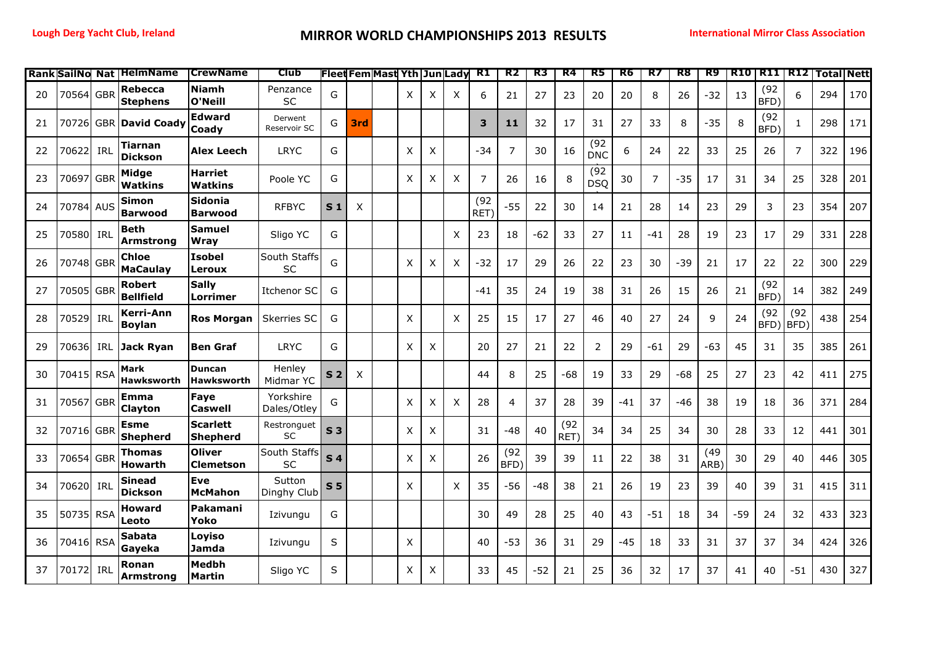|    |           |     | <b>Rank SailNo Nat   HelmName</b> | <b>CrewName</b>                    | Club                     |                |     | <b>Fleet Fem Mast Yth Jun Lady</b> |   |   |              | R1           | R2                       | R3    | R4           | R5                 | R6    | R7             | R8    | R9           |     | <b>R10 R11 R12</b> |                | <b>Total Nett</b> |     |
|----|-----------|-----|-----------------------------------|------------------------------------|--------------------------|----------------|-----|------------------------------------|---|---|--------------|--------------|--------------------------|-------|--------------|--------------------|-------|----------------|-------|--------------|-----|--------------------|----------------|-------------------|-----|
| 20 | 70564 GBR |     | Rebecca<br><b>Stephens</b>        | <b>Niamh</b><br>O'Neill            | Penzance<br>SC           | G              |     |                                    | X | X | X            | 6            | 21                       | 27    | 23           | 20                 | 20    | 8              | 26    | $-32$        | 13  | (92)<br>BFD)       | 6              | 294               | 170 |
| 21 | 70726     |     | <b>GBR David Coady</b>            | <b>Edward</b><br><b>Coady</b>      | Derwent<br>Reservoir SC  | G              | 3rd |                                    |   |   |              | 3            | 11                       | 32    | 17           | 31                 | 27    | 33             | 8     | $-35$        | 8   | (92)<br>BFD)       | $\mathbf{1}$   | 298               | 171 |
| 22 | 70622     | IRL | Tiarnan<br><b>Dickson</b>         | Alex Leech                         | <b>LRYC</b>              | G              |     |                                    | X | X |              | -34          | 7                        | 30    | 16           | (92)<br><b>DNC</b> | 6     | 24             | 22    | 33           | 25  | 26                 | $\overline{7}$ | 322               | 196 |
| 23 | 70697 GBR |     | Midge<br><b>Watkins</b>           | <b>Harriet</b><br><b>Watkins</b>   | Poole YC                 | G              |     |                                    | X | X | $\times$     | 7            | 26                       | 16    | 8            | (92)<br><b>DSQ</b> | 30    | $\overline{7}$ | $-35$ | 17           | 31  | 34                 | 25             | 328               | 201 |
| 24 | 70784 AUS |     | Simon<br><b>Barwood</b>           | <b>Sidonia</b><br><b>Barwood</b>   | <b>RFBYC</b>             | S <sub>1</sub> | X   |                                    |   |   |              | (92)<br>RET) | $-55$                    | 22    | 30           | 14                 | 21    | 28             | 14    | 23           | 29  | 3                  | 23             | 354               | 207 |
| 25 | 70580 IRL |     | <b>Beth</b><br>Armstrona          | <b>Samuel</b><br>Wrav              | Sligo YC                 | G              |     |                                    |   |   | X            | 23           | 18                       | $-62$ | 33           | 27                 | 11    | -41            | 28    | 19           | 23  | 17                 | 29             | 331               | 228 |
| 26 | 70748 GBR |     | Chloe<br><b>MaCaulay</b>          | <b>Isobel</b><br>Leroux            | South Staffs<br>SC       | G              |     |                                    | X | X | X            | $-32$        | 17                       | 29    | 26           | 22                 | 23    | 30             | $-39$ | 21           | 17  | 22                 | 22             | 300               | 229 |
| 27 | 70505 GBR |     | <b>Robert</b><br><b>Bellfield</b> | <b>Sally</b><br><b>Lorrimer</b>    | <b>Itchenor SC</b>       | G              |     |                                    |   |   |              | -41          | 35                       | 24    | 19           | 38                 | 31    | 26             | 15    | 26           | 21  | (92)<br>BFD)       | 14             | 382               | 249 |
| 28 | 70529     | IRL | Kerri-Ann<br><b>Boylan</b>        | <b>Ros Morgan</b>                  | Skerries SC              | G              |     |                                    | X |   | $\mathsf{x}$ | 25           | 15                       | 17    | 27           | 46                 | 40    | 27             | 24    | 9            | 24  | (92)<br>BFD)       | (92)<br>BFD)   | 438               | 254 |
| 29 | 70636     | IRL | <b>Jack Ryan</b>                  | <b>Ben Graf</b>                    | <b>LRYC</b>              | G              |     |                                    | X | X |              | 20           | 27                       | 21    | 22           | 2                  | 29    | -61            | 29    | -63          | 45  | 31                 | 35             | 385               | 261 |
| 30 | 70415 RSA |     | Mark<br><b>Hawksworth</b>         | <b>Duncan</b><br><b>Hawksworth</b> | Henley<br>Midmar YC      | S <sub>2</sub> | X   |                                    |   |   |              | 44           | 8                        | 25    | -68          | 19                 | 33    | 29             | $-68$ | 25           | 27  | 23                 | 42             | 411               | 275 |
| 31 | 70567 GBR |     | Emma<br>Clayton                   | Faye<br><b>Caswell</b>             | Yorkshire<br>Dales/Otley | G              |     |                                    | X | X | X            | 28           | 4                        | 37    | 28           | 39                 | $-41$ | 37             | $-46$ | 38           | 19  | 18                 | 36             | 371               | 284 |
| 32 | 70716 GBR |     | <b>Esme</b><br>Shepherd           | <b>Scarlett</b><br><b>Shepherd</b> | Restronguet<br>SC        | S <sub>3</sub> |     |                                    | X | X |              | 31           | -48                      | 40    | (92)<br>RET) | 34                 | 34    | 25             | 34    | 30           | 28  | 33                 | 12             | 441               | 301 |
| 33 | 70654 GBR |     | Thomas<br><b>Howarth</b>          | <b>Oliver</b><br><b>Clemetson</b>  | South Staffs<br>SC       | S <sub>4</sub> |     |                                    | X | X |              | 26           | (92)<br>BFD <sup>'</sup> | 39    | 39           | 11                 | 22    | 38             | 31    | (49)<br>ARB) | 30  | 29                 | 40             | 446               | 305 |
| 34 | 70620     | IRL | <b>Sinead</b><br><b>Dickson</b>   | Eve<br><b>McMahon</b>              | Sutton<br>Dinghy Club    | S <sub>5</sub> |     |                                    | X |   | X            | 35           | -56                      | -48   | 38           | 21                 | 26    | 19             | 23    | 39           | 40  | 39                 | 31             | 415               | 311 |
| 35 | 50735 RSA |     | <b>Howard</b><br>Leoto            | Pakamani<br>Yoko                   | Izivungu                 | G              |     |                                    |   |   |              | 30           | 49                       | 28    | 25           | 40                 | 43    | $-51$          | 18    | 34           | -59 | 24                 | 32             | 433               | 323 |
| 36 | 70416 RSA |     | <b>Sabata</b><br>Gayeka           | Loyiso<br><b>Jamda</b>             | Izivungu                 | S              |     |                                    | X |   |              | 40           | -53                      | 36    | 31           | 29                 | $-45$ | 18             | 33    | 31           | 37  | 37                 | 34             | 424               | 326 |
| 37 | 70172 IRL |     | Ronan<br><b>Armstrong</b>         | <b>Medbh</b><br><b>Martin</b>      | Sligo YC                 | S              |     |                                    | X | X |              | 33           | 45                       | $-52$ | 21           | 25                 | 36    | 32             | 17    | 37           | 41  | 40                 | $-51$          | 430               | 327 |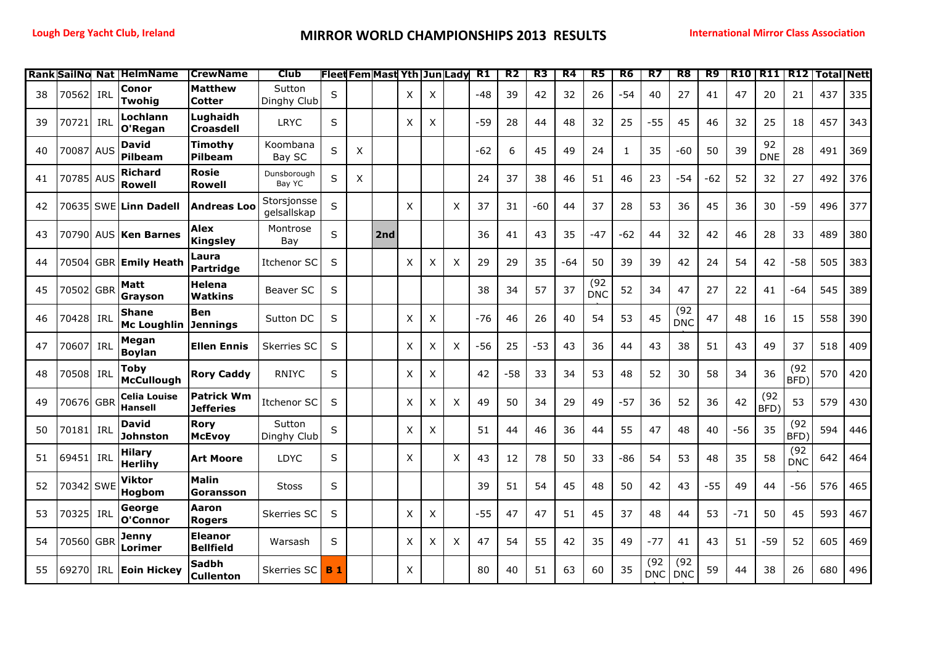| Rank | SailNo Nat |            | <b>HelmName</b>                    | <b>CrewName</b>                       | <b>Club</b>                |            |   | Fleet Fem Mast Yth   Jun Lady |   |   |   | <b>R1</b> | R <sub>2</sub> | R <sub>3</sub> | R <sub>4</sub> | R <sub>5</sub>     | R <sub>6</sub> | R7                 | R8                 | R <sub>9</sub> | <b>R10</b> | R11              | R12                | <b>Total Nett</b> |     |
|------|------------|------------|------------------------------------|---------------------------------------|----------------------------|------------|---|-------------------------------|---|---|---|-----------|----------------|----------------|----------------|--------------------|----------------|--------------------|--------------------|----------------|------------|------------------|--------------------|-------------------|-----|
| 38   | 70562      | IRL        | Conor<br>Twohia                    | <b>Matthew</b><br>Cotter              | Sutton<br>Dinghy Club      | S          |   |                               | X | X |   | -48       | 39             | 42             | 32             | 26                 | $-54$          | 40                 | 27                 | 41             | 47         | 20               | 21                 | 437               | 335 |
| 39   | 70721      | IRL        | Lochlann<br>O'Regan                | Lughaidh<br><b>Croasdell</b>          | <b>LRYC</b>                | S          |   |                               | Χ | Χ |   | $-59$     | 28             | 44             | 48             | 32                 | 25             | $-55$              | 45                 | 46             | 32         | 25               | 18                 | 457               | 343 |
| 40   | 70087 AUS  |            | David<br>Pilbeam                   | Timothv<br><b>Pilbeam</b>             | Koombana<br>Bay SC         | S          | X |                               |   |   |   | $-62$     | 6              | 45             | 49             | 24                 | $\mathbf{1}$   | 35                 | $-60$              | 50             | 39         | 92<br><b>DNE</b> | 28                 | 491               | 369 |
| 41   | 70785 AUS  |            | Richard<br><b>Rowell</b>           | <b>Rosie</b><br>Rowell                | Dunsborough<br>Bay YC      | S          | X |                               |   |   |   | 24        | 37             | 38             | 46             | 51                 | 46             | 23                 | $-54$              | $-62$          | 52         | 32               | 27                 | 492               | 376 |
| 42   |            |            | 70635 SWE Linn Dadell              | <b>Andreas Loo</b>                    | Storsjonsse<br>gelsallskap | S          |   |                               | X |   | X | 37        | 31             | $-60$          | 44             | 37                 | 28             | 53                 | 36                 | 45             | 36         | 30               | $-59$              | 496               | 377 |
| 43   |            |            | 70790 AUS Ken Barnes               | <b>Alex</b><br><b>Kingsley</b>        | Montrose<br>Bay            | S          |   | 2nd                           |   |   |   | 36        | 41             | 43             | 35             | $-47$              | $-62$          | 44                 | 32                 | 42             | 46         | 28               | 33                 | 489               | 380 |
| 44   | 70504l     |            | <b>GBR Emily Heath</b>             | Laura<br><b>Partridge</b>             | Itchenor SC                | S          |   |                               | X | X | X | 29        | 29             | 35             | -64            | 50                 | 39             | 39                 | 42                 | 24             | 54         | 42               | $-58$              | 505               | 383 |
| 45   | 70502 GBR  |            | Matt<br>Gravson                    | Helena<br>Watkins                     | Beaver SC                  | S          |   |                               |   |   |   | 38        | 34             | 57             | 37             | (92)<br><b>DNC</b> | 52             | 34                 | 47                 | 27             | 22         | 41               | -64                | 545               | 389 |
| 46   | 70428 IRL  |            | <b>Shane</b><br><b>Mc Loughlin</b> | <b>Ben</b><br><b>Jennings</b>         | Sutton DC                  | S          |   |                               | Χ | X |   | $-76$     | 46             | 26             | 40             | 54                 | 53             | 45                 | (92)<br><b>DNC</b> | 47             | 48         | 16               | 15                 | 558               | 390 |
| 47   | 70607      | IRL        | Megan<br><b>Boylan</b>             | <b>Ellen Ennis</b>                    | Skerries SC                | S          |   |                               | Χ | X | X | $-56$     | 25             | $-53$          | 43             | 36                 | 44             | 43                 | 38                 | 51             | 43         | 49               | 37                 | 518               | 409 |
| 48   | 70508 IRL  |            | <b>Toby</b><br><b>McCullough</b>   | <b>Rory Caddy</b>                     | <b>RNIYC</b>               | S          |   |                               | X | X |   | 42        | $-58$          | 33             | 34             | 53                 | 48             | 52                 | 30                 | 58             | 34         | 36               | (92)<br>BFD)       | 570               | 420 |
| 49   | 70676 GBR  |            | Celia Louise<br>Hansell            | <b>Patrick Wm</b><br><b>Jefferies</b> | Itchenor SC                | S          |   |                               | Χ | X | X | 49        | 50             | 34             | 29             | 49                 | $-57$          | 36                 | 52                 | 36             | 42         | (92)<br>BFD)     | 53                 | 579               | 430 |
| 50   | 70181      | IRL        | David<br>Johnston                  | <b>Rory</b><br><b>McEvoy</b>          | Sutton<br>Dinghy Club      | S          |   |                               | Χ | X |   | 51        | 44             | 46             | 36             | 44                 | 55             | 47                 | 48                 | 40             | $-56$      | 35               | (92)<br>BFD)       | 594               | 446 |
| 51   | 69451      | IRL        | <b>Hilary</b><br><b>Herlihy</b>    | <b>Art Moore</b>                      | <b>LDYC</b>                | S          |   |                               | X |   | X | 43        | 12             | 78             | 50             | 33                 | $-86$          | 54                 | 53                 | 48             | 35         | 58               | (92)<br><b>DNC</b> | 642               | 464 |
| 52   | 70342 SWE  |            | Viktor<br>Hogbom                   | <b>Malin</b><br>Goransson             | <b>Stoss</b>               | S          |   |                               |   |   |   | 39        | 51             | 54             | 45             | 48                 | 50             | 42                 | 43                 | $-55$          | 49         | 44               | $-56$              | 576               | 465 |
| 53   | 70325      | IRL        | George<br>O'Connor                 | Aaron<br><b>Rogers</b>                | Skerries SC                | S          |   |                               | X | X |   | $-55$     | 47             | 47             | 51             | 45                 | 37             | 48                 | 44                 | 53             | $-71$      | 50               | 45                 | 593               | 467 |
| 54   | 70560 GBR  |            | Jenny<br>Lorimer                   | <b>Eleanor</b><br><b>Bellfield</b>    | Warsash                    | S          |   |                               | X | X | X | 47        | 54             | 55             | 42             | 35                 | 49             | $-77$              | 41                 | 43             | 51         | $-59$            | 52                 | 605               | 469 |
| 55   | 69270      | <b>IRL</b> | <b>Eoin Hickey</b>                 | <b>Sadbh</b><br><b>Cullenton</b>      | Skerries SC                | <b>B</b> 1 |   |                               | X |   |   | 80        | 40             | 51             | 63             | 60                 | 35             | (92)<br><b>DNC</b> | (92)<br><b>DNC</b> | 59             | 44         | 38               | 26                 | 680               | 496 |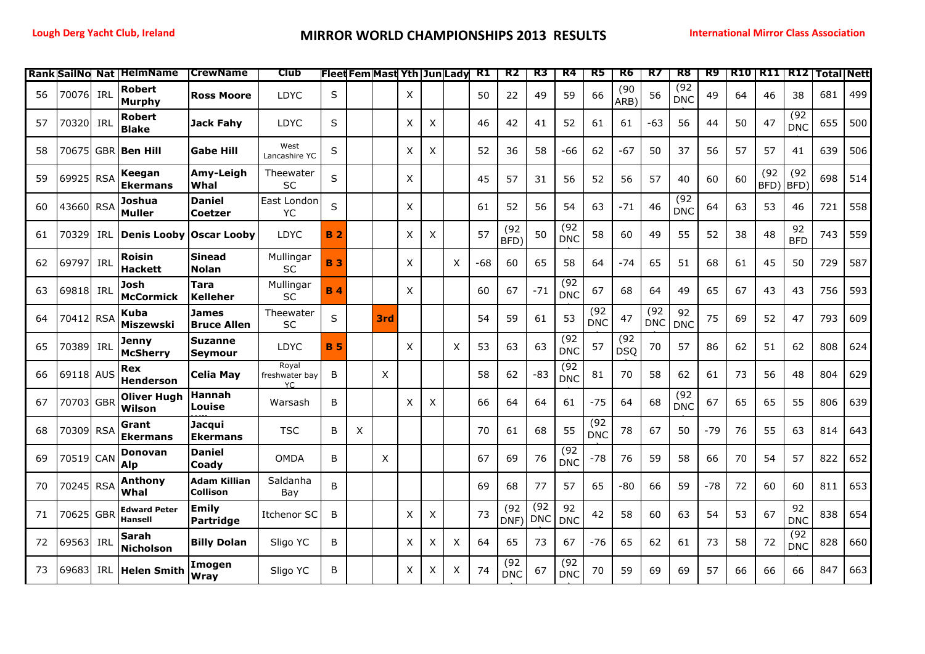|    |           |            | <b>Rank SailNo Nat   HelmName</b>     | <b>CrewName</b>                  | Club                           |           | Fleet Fem Mast Yth Jun Lady |     |   |   |   | R1  | R2                 | R3                 | R4                 | R5                 | R6                 | R7                 | R8                 | R9    |    | <b>R10 R11 R12</b> |                    | <b>Total Nett</b> |     |
|----|-----------|------------|---------------------------------------|----------------------------------|--------------------------------|-----------|-----------------------------|-----|---|---|---|-----|--------------------|--------------------|--------------------|--------------------|--------------------|--------------------|--------------------|-------|----|--------------------|--------------------|-------------------|-----|
| 56 | 70076     | IRL        | Robert<br>Murphy                      | <b>Ross Moore</b>                | LDYC                           | $\sf S$   |                             |     | X |   |   | 50  | 22                 | 49                 | 59                 | 66                 | (90)<br>ARB)       | 56                 | (92)<br><b>DNC</b> | 49    | 64 | 46                 | 38                 | 681               | 499 |
| 57 | 70320     | IRL        | Robert<br><b>Blake</b>                | <b>Jack Fahy</b>                 | LDYC                           | S         |                             |     | Χ | Χ |   | 46  | 42                 | 41                 | 52                 | 61                 | 61                 | $-63$              | 56                 | 44    | 50 | 47                 | (92)<br><b>DNC</b> | 655               | 500 |
| 58 | 70675     |            | GBR Ben Hill                          | <b>Gabe Hill</b>                 | West<br>Lancashire YC          | S         |                             |     | X | X |   | 52  | 36                 | 58                 | -66                | 62                 | $-67$              | 50                 | 37                 | 56    | 57 | 57                 | 41                 | 639               | 506 |
| 59 | 69925     | <b>RSA</b> | Keegan<br><b>Ekermans</b>             | Amy-Leigh<br>Whal                | Theewater<br><b>SC</b>         | S         |                             |     | X |   |   | 45  | 57                 | 31                 | 56                 | 52                 | 56                 | 57                 | 40                 | 60    | 60 | (92)<br>BFD)       | (92)<br>BFD)       | 698               | 514 |
| 60 | 43660 RSA |            | Joshua<br><b>Muller</b>               | <b>Daniel</b><br><b>Coetzer</b>  | East London<br>YC              | S         |                             |     | X |   |   | 61  | 52                 | 56                 | 54                 | 63                 | $-71$              | 46                 | (92)<br><b>DNC</b> | 64    | 63 | 53                 | 46                 | 721               | 558 |
| 61 | 70329     | <b>IRL</b> | <b>Denis Looby</b>                    | Oscar Looby                      | <b>LDYC</b>                    | <b>B2</b> |                             |     | Χ | X |   | 57  | (92)<br>BFD)       | 50                 | (92)<br><b>DNC</b> | 58                 | 60                 | 49                 | 55                 | 52    | 38 | 48                 | 92<br><b>BFD</b>   | 743               | 559 |
| 62 | 69797     | IRL        | Roisin<br>Hackett                     | Sinead<br><b>Nolan</b>           | Mullingar<br><b>SC</b>         | <b>B3</b> |                             |     | X |   | X | -68 | 60                 | 65                 | 58                 | 64                 | -74                | 65                 | 51                 | 68    | 61 | 45                 | 50                 | 729               | 587 |
| 63 | 69818     | IRL        | Josh<br><b>McCormick</b>              | Tara<br><b>Kelleher</b>          | Mullingar<br><b>SC</b>         | <b>B4</b> |                             |     | X |   |   | 60  | 67                 | $-71$              | (92)<br><b>DNC</b> | 67                 | 68                 | 64                 | 49                 | 65    | 67 | 43                 | 43                 | 756               | 593 |
| 64 | 70412 RSA |            | Kuba<br>Miszewski                     | James<br><b>Bruce Allen</b>      | Theewater<br>SC                | S         |                             | 3rd |   |   |   | 54  | 59                 | 61                 | 53                 | (92)<br><b>DNC</b> | 47                 | (92)<br><b>DNC</b> | 92<br><b>DNC</b>   | 75    | 69 | 52                 | 47                 | 793               | 609 |
| 65 | 70389     | IRL        | Jenny<br><b>McSherry</b>              | <b>Suzanne</b><br>Seymour        | <b>LDYC</b>                    | <b>B5</b> |                             |     | X |   | X | 53  | 63                 | 63                 | (92)<br><b>DNC</b> | 57                 | (92)<br><b>DSQ</b> | 70                 | 57                 | 86    | 62 | 51                 | 62                 | 808               | 624 |
| 66 | 69118 AUS |            | Rex<br><b>Henderson</b>               | <b>Celia May</b>                 | Royal<br>freshwater bay<br>YC. | B         |                             | X   |   |   |   | 58  | 62                 | $-83$              | (92)<br><b>DNC</b> | 81                 | 70                 | 58                 | 62                 | 61    | 73 | 56                 | 48                 | 804               | 629 |
| 67 | 70703 GBR |            | <b>Oliver Hugh</b><br>Wilson          | Hannah<br>Louise                 | Warsash                        | B         |                             |     | X | X |   | 66  | 64                 | 64                 | 61                 | $-75$              | 64                 | 68                 | (92)<br><b>DNC</b> | 67    | 65 | 65                 | 55                 | 806               | 639 |
| 68 | 70309 RSA |            | Grant<br><b>Ekermans</b>              | Jacqui<br><b>Ekermans</b>        | <b>TSC</b>                     | В         | X                           |     |   |   |   | 70  | 61                 | 68                 | 55                 | (92)<br><b>DNC</b> | 78                 | 67                 | 50                 | $-79$ | 76 | 55                 | 63                 | 814               | 643 |
| 69 | 70519 CAN |            | Donovan<br>Alp                        | <b>Daniel</b><br>Coady           | <b>OMDA</b>                    | B         |                             | X   |   |   |   | 67  | 69                 | 76                 | (92)<br><b>DNC</b> | $-78$              | 76                 | 59                 | 58                 | 66    | 70 | 54                 | 57                 | 822               | 652 |
| 70 | 70245 RSA |            | Anthony<br>Whal                       | <b>Adam Killian</b><br>Collison  | Saldanha<br>Bay                | B         |                             |     |   |   |   | 69  | 68                 | 77                 | 57                 | 65                 | -80                | 66                 | 59                 | $-78$ | 72 | 60                 | 60                 | 811               | 653 |
| 71 | 70625     | <b>GBR</b> | <b>Edward Peter</b><br><b>Hansell</b> | <b>Emily</b><br><b>Partridge</b> | Itchenor SC                    | B         |                             |     | X | X |   | 73  | (92)<br>DNF)       | (92)<br><b>DNC</b> | 92<br><b>DNC</b>   | 42                 | 58                 | 60                 | 63                 | 54    | 53 | 67                 | 92<br><b>DNC</b>   | 838               | 654 |
| 72 | 69563     | IRL        | Sarah<br><b>Nicholson</b>             | <b>Billy Dolan</b>               | Sligo YC                       | B         |                             |     | X | Χ | X | 64  | 65                 | 73                 | 67                 | -76                | 65                 | 62                 | 61                 | 73    | 58 | 72                 | (92)<br><b>DNC</b> | 828               | 660 |
| 73 | 69683     | IRL        | Helen Smith                           | Imogen<br>Wray                   | Sligo YC                       | B         |                             |     | Χ | X | X | 74  | (92)<br><b>DNC</b> | 67                 | (92)<br><b>DNC</b> | 70                 | 59                 | 69                 | 69                 | 57    | 66 | 66                 | 66                 | 847               | 663 |